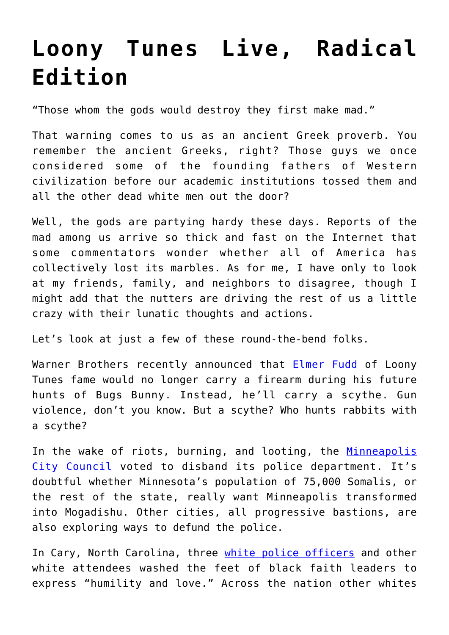## **[Loony Tunes Live, Radical](https://intellectualtakeout.org/2020/06/loony-tunes-live-radical-edition/) [Edition](https://intellectualtakeout.org/2020/06/loony-tunes-live-radical-edition/)**

"Those whom the gods would destroy they first make mad."

That warning comes to us as an ancient Greek proverb. You remember the ancient Greeks, right? Those guys we once considered some of the founding fathers of Western civilization before our academic institutions tossed them and all the other dead white men out the door?

Well, the gods are partying hardy these days. Reports of the mad among us arrive so thick and fast on the Internet that some commentators wonder whether all of America has collectively lost its marbles. As for me, I have only to look at my friends, family, and neighbors to disagree, though I might add that the nutters are driving the rest of us a little crazy with their lunatic thoughts and actions.

Let's look at just a few of these round-the-bend folks.

Warner Brothers recently announced that **[Elmer Fudd](https://www.telegraph.co.uk/news/2020/06/05/looney-tunes-remake-will-see-elmer-fudd-without-rifle-creators/?fbclid=IwAR2DONg7xHuhha_jlx0WhonXl00QdajQc3UkstFjgri4GwMssmULcse6ERk)** of Loony Tunes fame would no longer carry a firearm during his future hunts of Bugs Bunny. Instead, he'll carry a scythe. Gun violence, don't you know. But a scythe? Who hunts rabbits with a scythe?

In the wake of riots, burning, and looting, the [Minneapolis](https://nypost.com/2020/06/07/minneapolis-city-council-plans-to-disband-the-police-department/) [City Council](https://nypost.com/2020/06/07/minneapolis-city-council-plans-to-disband-the-police-department/) voted to disband its police department. It's doubtful whether Minnesota's population of 75,000 Somalis, or the rest of the state, really want Minneapolis transformed into Mogadishu. Other cities, all progressive bastions, are also exploring ways to defund the police.

In Cary, North Carolina, three [white police officers](https://www.dailymail.co.uk/news/article-8397065/White-police-officers-community-members-wash-feet-black-faith-leaders-protest.html) and other white attendees washed the feet of black faith leaders to express "humility and love." Across the nation other whites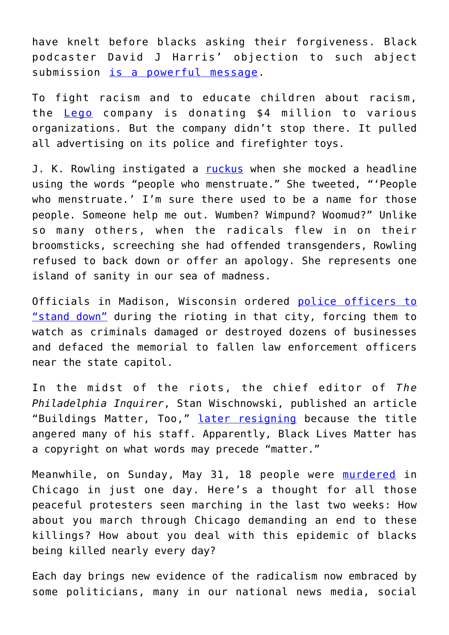have knelt before blacks asking their forgiveness. Black podcaster David J Harris' objection to such abject submission [is a powerful message.](https://www.youtube.com/watch?v=XHUxb_UDDrI)

To fight racism and to educate children about racism, the [Lego](https://www.vulture.com/2020/06/lego-pulls-advertising-for-police-toys-donates-usd4-million.html) company is donating \$4 million to various organizations. But the company didn't stop there. It pulled all advertising on its police and firefighter toys.

J. K. Rowling instigated a [ruckus](https://pjmedia.com/culture/matt-margolis/2020/06/07/j-k-rowling-speaks-truth-about-transgenderism-will-she-be-canceled-n503698) when she mocked a headline using the words "people who menstruate." She tweeted, "'People who menstruate.' I'm sure there used to be a name for those people. Someone help me out. Wumben? Wimpund? Woomud?" Unlike so many others, when the radicals flew in on their broomsticks, screeching she had offended transgenders, Rowling refused to back down or offer an apology. She represents one island of sanity in our sea of madness.

Officials in Madison, Wisconsin ordered [police officers to](https://townhall.com/columnists/mdkittle/2020/06/08/cops-told-to-stand-down-as-madison-burned-n2570266) ["stand down"](https://townhall.com/columnists/mdkittle/2020/06/08/cops-told-to-stand-down-as-madison-burned-n2570266) during the rioting in that city, forcing them to watch as criminals damaged or destroyed dozens of businesses and defaced the memorial to fallen law enforcement officers near the state capitol.

In the midst of the riots, the chief editor of *The Philadelphia Inquirer*, Stan Wischnowski, published an article "Buildings Matter, Too," [later resigning](https://thehill.com/homenews/media/501509-top-philadelphia-inquirer-editor-resigns-after-buildings-matter-too-headline) because the title angered many of his staff. Apparently, Black Lives Matter has a copyright on what words may precede "matter."

Meanwhile, on Sunday, May 31, 18 people were [murdered](https://chicago.suntimes.com/crime/2020/6/8/21281998/chicago-violence-murder-history-homicide-police-crime) in Chicago in just one day. Here's a thought for all those peaceful protesters seen marching in the last two weeks: How about you march through Chicago demanding an end to these killings? How about you deal with this epidemic of blacks being killed nearly every day?

Each day brings new evidence of the radicalism now embraced by some politicians, many in our national news media, social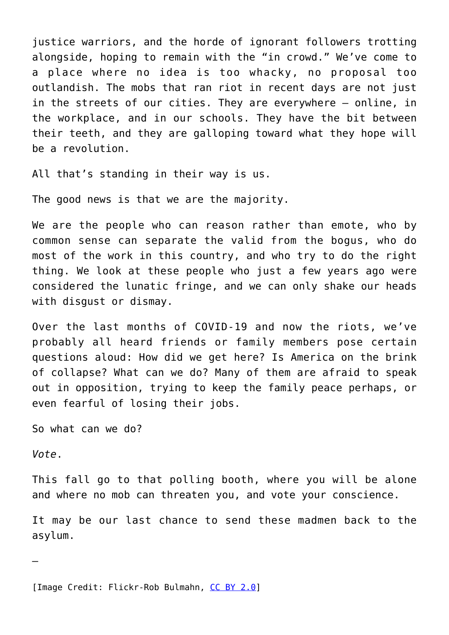justice warriors, and the horde of ignorant followers trotting alongside, hoping to remain with the "in crowd." We've come to a place where no idea is too whacky, no proposal too outlandish. The mobs that ran riot in recent days are not just in the streets of our cities. They are everywhere – online, in the workplace, and in our schools. They have the bit between their teeth, and they are galloping toward what they hope will be a revolution.

All that's standing in their way is us.

The good news is that we are the majority.

We are the people who can reason rather than emote, who by common sense can separate the valid from the bogus, who do most of the work in this country, and who try to do the right thing. We look at these people who just a few years ago were considered the lunatic fringe, and we can only shake our heads with disgust or dismay.

Over the last months of COVID-19 and now the riots, we've probably all heard friends or family members pose certain questions aloud: How did we get here? Is America on the brink of collapse? What can we do? Many of them are afraid to speak out in opposition, trying to keep the family peace perhaps, or even fearful of losing their jobs.

So what can we do?

*Vote*.

This fall go to that polling booth, where you will be alone and where no mob can threaten you, and vote your conscience.

It may be our last chance to send these madmen back to the asylum.

—

[Image Credit: Flickr-Rob Bulmahn, [CC BY 2.0](https://creativecommons.org/licenses/by/2.0/legalcode)]